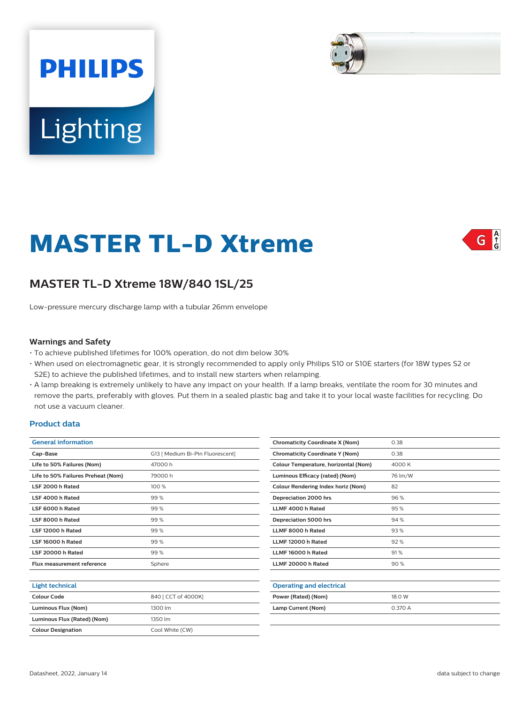



# **MASTER TL-D Xtreme**



## **MASTER TL-D Xtreme 18W/840 1SL/25**

Low-pressure mercury discharge lamp with a tubular 26mm envelope

#### **Warnings and Safety**

- To achieve published lifetimes for 100% operation, do not dim below 30%
- When used on electromagnetic gear, it is strongly recommended to apply only Philips S10 or S10E starters (for 18W types S2 or S2E) to achieve the published lifetimes, and to install new starters when relamping.
- A lamp breaking is extremely unlikely to have any impact on your health. If a lamp breaks, ventilate the room for 30 minutes and remove the parts, preferably with gloves. Put them in a sealed plastic bag and take it to your local waste facilities for recycling. Do not use a vacuum cleaner.

#### **Product data**

| <b>General information</b>         |                                  |  |  |  |
|------------------------------------|----------------------------------|--|--|--|
| Cap-Base                           | G13   Medium Bi-Pin Fluorescent] |  |  |  |
| Life to 50% Failures (Nom)         | 47000 h                          |  |  |  |
| Life to 50% Failures Preheat (Nom) | 79000h                           |  |  |  |
| LSF 2000 h Rated                   | 100 %                            |  |  |  |
| LSF 4000 h Rated                   | 99%                              |  |  |  |
| LSF 6000 h Rated                   | 99%                              |  |  |  |
| LSF 8000 h Rated                   | 99%                              |  |  |  |
| LSF 12000 h Rated                  | 99%                              |  |  |  |
| LSF 16000 h Rated                  | 99%                              |  |  |  |
| LSF 20000 h Rated                  | 99%                              |  |  |  |
| Flux measurement reference         | Sphere                           |  |  |  |
|                                    |                                  |  |  |  |
| Light technical                    |                                  |  |  |  |

| Colour Code                 | 840 [ CCT of 4000K] |  |
|-----------------------------|---------------------|--|
| Luminous Flux (Nom)         | 1300 lm             |  |
| Luminous Flux (Rated) (Nom) | 1350 lm             |  |
| <b>Colour Designation</b>   | Cool White (CW)     |  |

| <b>Chromaticity Coordinate X (Nom)</b> | 0.38    |
|----------------------------------------|---------|
| <b>Chromaticity Coordinate Y (Nom)</b> | 0.38    |
| Colour Temperature, horizontal (Nom)   | 4000 K  |
| Luminous Efficacy (rated) (Nom)        | 76 lm/W |
| Colour Rendering Index horiz (Nom)     | 82      |
| Depreciation 2000 hrs                  | 96%     |
| LLMF 4000 h Rated                      | 95%     |
| Depreciation 5000 hrs                  | 94%     |
| LLMF 8000 h Rated                      | 93%     |
| LLMF 12000 h Rated                     | 92%     |
| LLMF 16000 h Rated                     | 91%     |
| LLMF 20000 h Rated                     | 90%     |
|                                        |         |
| <b>Operating and electrical</b>        |         |
| Power (Rated) (Nom)                    | 18.0 W  |
| Lamp Current (Nom)                     | 0.370A  |
|                                        |         |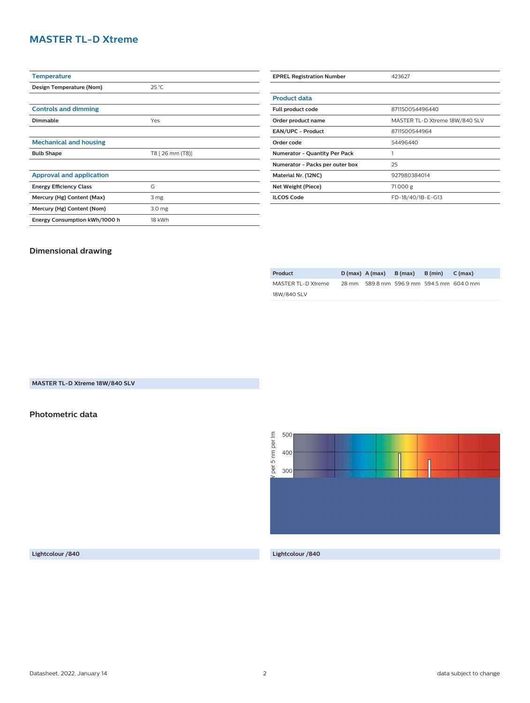## **MASTER TL-D Xtreme**

| <b>Temperature</b>              |                   |  |  |
|---------------------------------|-------------------|--|--|
| Design Temperature (Nom)        | $25^{\circ}$ C    |  |  |
|                                 |                   |  |  |
| <b>Controls and dimming</b>     |                   |  |  |
| Dimmable                        | Yes               |  |  |
|                                 |                   |  |  |
| <b>Mechanical and housing</b>   |                   |  |  |
| <b>Bulb Shape</b>               | T8 [ 26 mm (T8)]  |  |  |
|                                 |                   |  |  |
|                                 |                   |  |  |
| <b>Approval and application</b> |                   |  |  |
| <b>Energy Efficiency Class</b>  | G                 |  |  |
| Mercury (Hg) Content (Max)      | 3 mg              |  |  |
| Mercury (Hg) Content (Nom)      | 3.0 <sub>mg</sub> |  |  |

| <b>EPREL Registration Number</b>     | 423627                         |  |  |  |
|--------------------------------------|--------------------------------|--|--|--|
|                                      |                                |  |  |  |
| <b>Product data</b>                  |                                |  |  |  |
| Full product code                    | 871150054496440                |  |  |  |
| Order product name                   | MASTER TL-D Xtreme 18W/840 SLV |  |  |  |
| <b>EAN/UPC - Product</b>             | 8711500544964                  |  |  |  |
| Order code                           | 54496440                       |  |  |  |
| <b>Numerator - Quantity Per Pack</b> |                                |  |  |  |
| Numerator - Packs per outer box      | 25                             |  |  |  |
| Material Nr. (12NC)                  | 927980384014                   |  |  |  |
| Net Weight (Piece)                   | 71.000 g                       |  |  |  |
| <b>ILCOS Code</b>                    | FD-18/40/1B-E-G13              |  |  |  |

### **Dimensional drawing**

| Product            |       | $D(max)$ A (max) | B (max) | B (min) | C (max)                             |
|--------------------|-------|------------------|---------|---------|-------------------------------------|
| MASTER TL-D Xtreme | 28 mm |                  |         |         | 589.8 mm 596.9 mm 594.5 mm 604.0 mm |
| 18W/840 SLV        |       |                  |         |         |                                     |

### **MASTER TL-D Xtreme 18W/840 SLV**

#### **Photometric data**



**Lightcolour /840 Lightcolour /840**